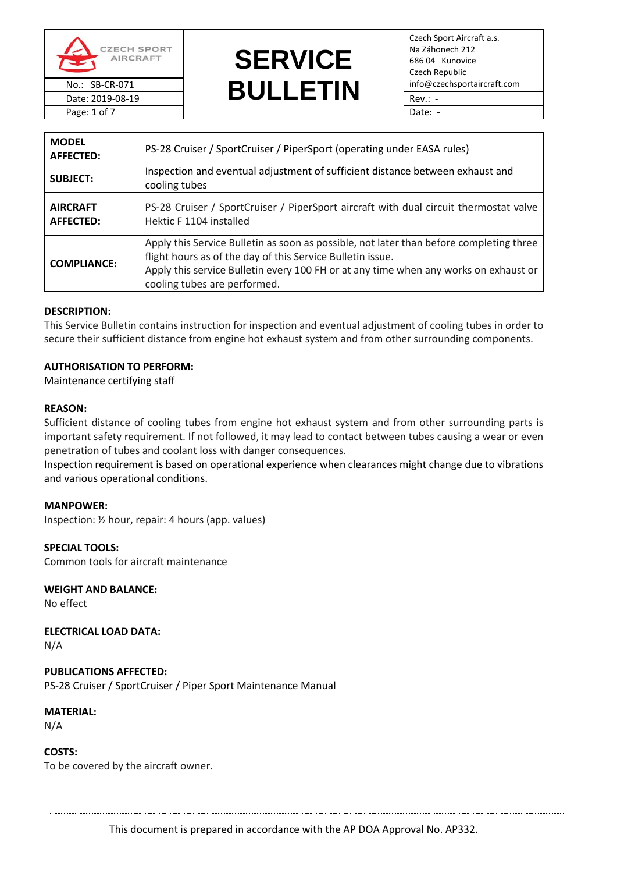

Page: 1 of 7 Date: -

# **SERVICE**  No.: SB-CR-071 **info@czechsportaircraft.com**<br>Date: 2019-08-19 **info@czechsportaircraft.com** Date: 2019-08-19 **BUULLLIN** Rev.: -

Czech Sport Aircraft a.s. Na Záhonech 212 686 04 Kunovice Czech Republic

| <b>MODEL</b><br><b>AFFECTED:</b>    | PS-28 Cruiser / SportCruiser / PiperSport (operating under EASA rules)                                                                                                                                                                                                        |
|-------------------------------------|-------------------------------------------------------------------------------------------------------------------------------------------------------------------------------------------------------------------------------------------------------------------------------|
| <b>SUBJECT:</b>                     | Inspection and eventual adjustment of sufficient distance between exhaust and<br>cooling tubes                                                                                                                                                                                |
| <b>AIRCRAFT</b><br><b>AFFECTED:</b> | PS-28 Cruiser / SportCruiser / PiperSport aircraft with dual circuit thermostat valve<br>Hektic F 1104 installed                                                                                                                                                              |
| <b>COMPLIANCE:</b>                  | Apply this Service Bulletin as soon as possible, not later than before completing three<br>flight hours as of the day of this Service Bulletin issue.<br>Apply this service Bulletin every 100 FH or at any time when any works on exhaust or<br>cooling tubes are performed. |

### **DESCRIPTION:**

This Service Bulletin contains instruction for inspection and eventual adjustment of cooling tubes in order to secure their sufficient distance from engine hot exhaust system and from other surrounding components.

## **AUTHORISATION TO PERFORM:**

Maintenance certifying staff

### **REASON:**

Sufficient distance of cooling tubes from engine hot exhaust system and from other surrounding parts is important safety requirement. If not followed, it may lead to contact between tubes causing a wear or even penetration of tubes and coolant loss with danger consequences.

Inspection requirement is based on operational experience when clearances might change due to vibrations and various operational conditions.

### **MANPOWER:**

Inspection: ½ hour, repair: 4 hours (app. values)

**SPECIAL TOOLS:** Common tools for aircraft maintenance

**WEIGHT AND BALANCE:** No effect

**ELECTRICAL LOAD DATA:** N/A

**PUBLICATIONS AFFECTED:** PS-28 Cruiser / SportCruiser / Piper Sport Maintenance Manual

**MATERIAL:** N/A

**COSTS:** To be covered by the aircraft owner.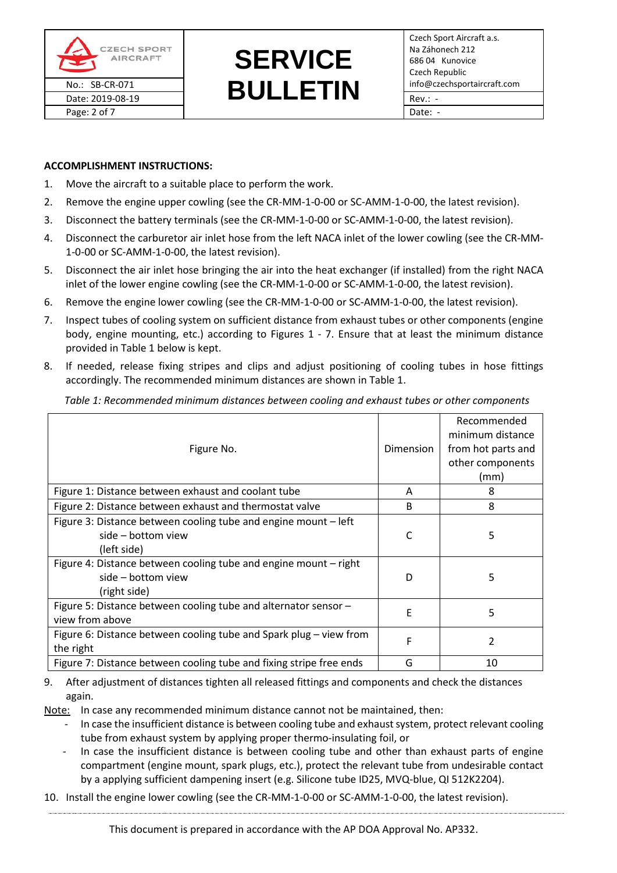

# **SERVICE**  No.: SB-CR-071 **info@czechsportaircraft.com**<br>Date: 2019-08-19 **info@czechsportaircraft.com** Date: 2019-08-19 Rev.: -

## **ACCOMPLISHMENT INSTRUCTIONS:**

- 1. Move the aircraft to a suitable place to perform the work.
- 2. Remove the engine upper cowling (see the CR-MM-1-0-00 or SC-AMM-1-0-00, the latest revision).
- 3. Disconnect the battery terminals (see the CR-MM-1-0-00 or SC-AMM-1-0-00, the latest revision).
- 4. Disconnect the carburetor air inlet hose from the left NACA inlet of the lower cowling (see the CR-MM-1-0-00 or SC-AMM-1-0-00, the latest revision).
- 5. Disconnect the air inlet hose bringing the air into the heat exchanger (if installed) from the right NACA inlet of the lower engine cowling (see the CR-MM-1-0-00 or SC-AMM-1-0-00, the latest revision).
- 6. Remove the engine lower cowling (see the CR-MM-1-0-00 or SC-AMM-1-0-00, the latest revision).
- 7. Inspect tubes of cooling system on sufficient distance from exhaust tubes or other components (engine body, engine mounting, etc.) according to Figures 1 - 7. Ensure that at least the minimum distance provided in Table 1 below is kept.
- 8. If needed, release fixing stripes and clips and adjust positioning of cooling tubes in hose fittings accordingly. The recommended minimum distances are shown i[n Table 1.](#page-1-0)

<span id="page-1-0"></span>*Table 1: Recommended minimum distances between cooling and exhaust tubes or other components*

| Figure No.                                                                                             | Dimension | Recommended<br>minimum distance<br>from hot parts and<br>other components<br>(mm) |
|--------------------------------------------------------------------------------------------------------|-----------|-----------------------------------------------------------------------------------|
| Figure 1: Distance between exhaust and coolant tube                                                    | A         | 8                                                                                 |
| Figure 2: Distance between exhaust and thermostat valve                                                | B         | 8                                                                                 |
| Figure 3: Distance between cooling tube and engine mount - left<br>side – bottom view<br>(left side)   | C         | 5                                                                                 |
| Figure 4: Distance between cooling tube and engine mount - right<br>side – bottom view<br>(right side) | D         | 5                                                                                 |
| Figure 5: Distance between cooling tube and alternator sensor -<br>view from above                     | F         | 5                                                                                 |
| Figure 6: Distance between cooling tube and Spark plug - view from<br>the right                        | F         | 2                                                                                 |
| Figure 7: Distance between cooling tube and fixing stripe free ends                                    | G         | 10                                                                                |

9. After adjustment of distances tighten all released fittings and components and check the distances again.

Note: In case any recommended minimum distance cannot not be maintained, then:

- In case the insufficient distance is between cooling tube and exhaust system, protect relevant cooling tube from exhaust system by applying proper thermo-insulating foil, or
- In case the insufficient distance is between cooling tube and other than exhaust parts of engine compartment (engine mount, spark plugs, etc.), protect the relevant tube from undesirable contact by a applying sufficient dampening insert (e.g. Silicone tube ID25, MVQ-blue, QI 512K2204).
- 10. Install the engine lower cowling (see the CR-MM-1-0-00 or SC-AMM-1-0-00, the latest revision).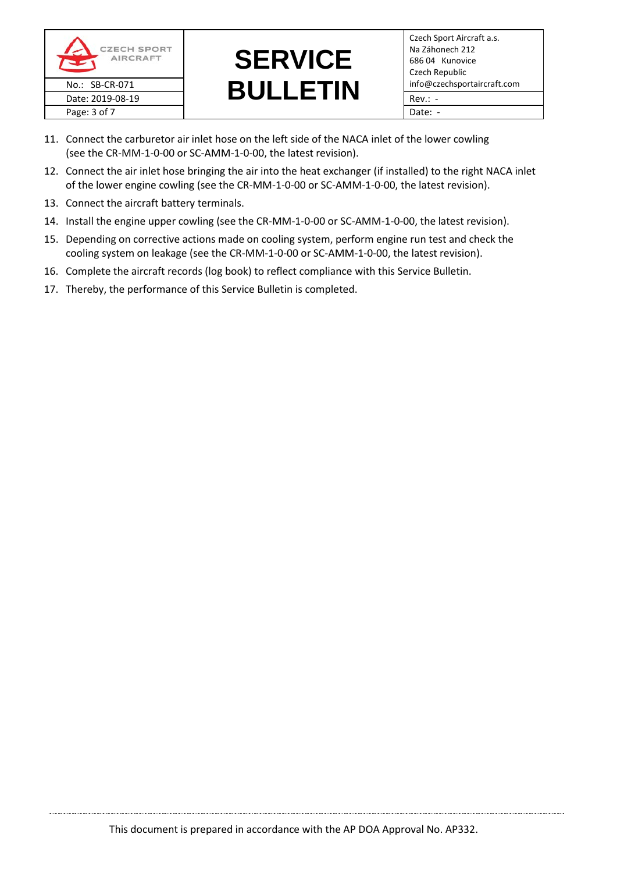



- 11. Connect the carburetor air inlet hose on the left side of the NACA inlet of the lower cowling (see the CR-MM-1-0-00 or SC-AMM-1-0-00, the latest revision).
- 12. Connect the air inlet hose bringing the air into the heat exchanger (if installed) to the right NACA inlet of the lower engine cowling (see the CR-MM-1-0-00 or SC-AMM-1-0-00, the latest revision).
- 13. Connect the aircraft battery terminals.
- 14. Install the engine upper cowling (see the CR-MM-1-0-00 or SC-AMM-1-0-00, the latest revision).
- 15. Depending on corrective actions made on cooling system, perform engine run test and check the cooling system on leakage (see the CR-MM-1-0-00 or SC-AMM-1-0-00, the latest revision).
- 16. Complete the aircraft records (log book) to reflect compliance with this Service Bulletin.
- 17. Thereby, the performance of this Service Bulletin is completed.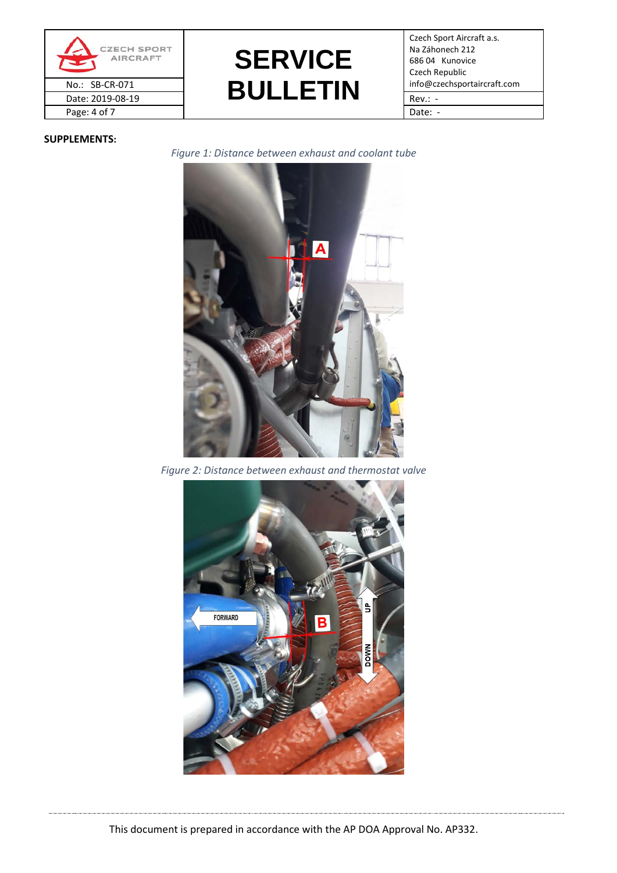



Czech Sport Aircraft a.s. Na Záhonech 212 686 04 Kunovice Czech Republic

### <span id="page-3-0"></span>**SUPPLEMENTS:**

*Figure 1: Distance between exhaust and coolant tube*



*Figure 2: Distance between exhaust and thermostat valve*

<span id="page-3-1"></span>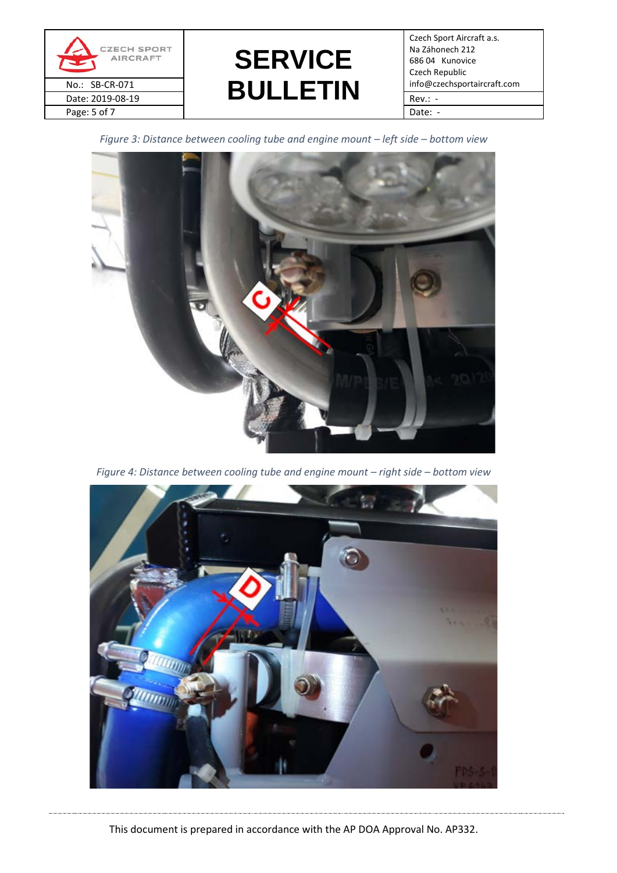

# **SERVICE**  No.: SB-CR-071 **info@czechsportaircraft.com**<br>Date: 2019-08-19 **info@czechsportaircraft.com** Date: 2019-08-19  $\begin{array}{|c|c|c|c|c|c|c|c|c|}\n\hline\n\hline\n\end{array}$  Rev.: -

Czech Sport Aircraft a.s. Na Záhonech 212 686 04 Kunovice Czech Republic

<span id="page-4-0"></span>*Figure 3: Distance between cooling tube and engine mount – left side – bottom view*



*Figure 4: Distance between cooling tube and engine mount – right side – bottom view*

<span id="page-4-1"></span>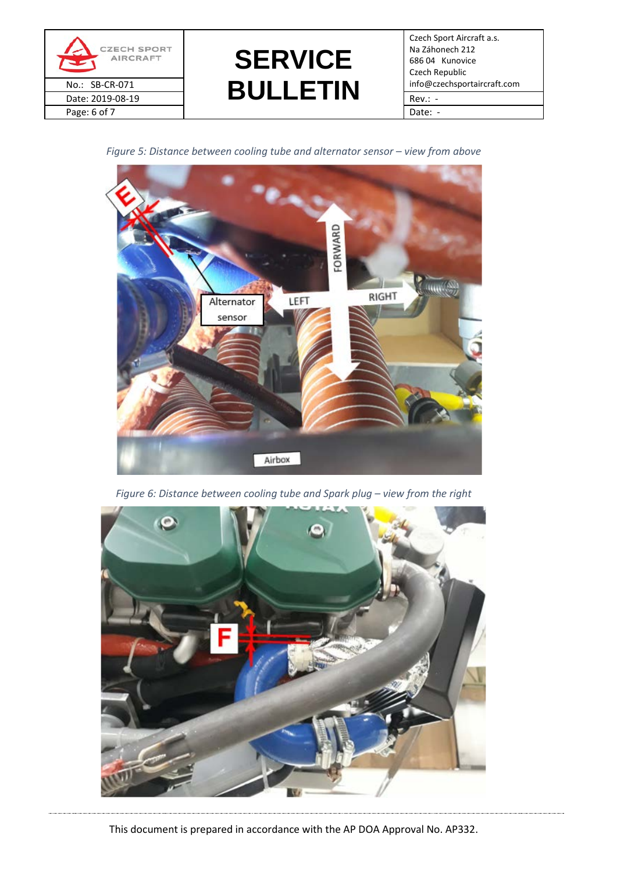



Czech Sport Aircraft a.s. Na Záhonech 212 686 04 Kunovice Czech Republic

<span id="page-5-0"></span>*Figure 5: Distance between cooling tube and alternator sensor – view from above*



*Figure 6: Distance between cooling tube and Spark plug – view from the right*

<span id="page-5-1"></span>